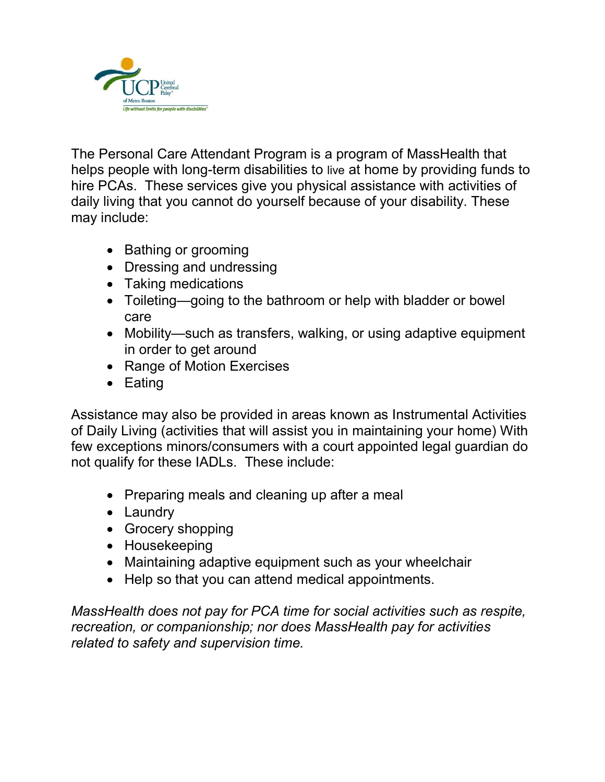

The Personal Care Attendant Program is a program of MassHealth that helps people with long-term disabilities to live at home by providing funds to hire PCAs. These services give you physical assistance with activities of daily living that you cannot do yourself because of your disability. These may include:

- Bathing or grooming
- Dressing and undressing
- Taking medications
- Toileting—going to the bathroom or help with bladder or bowel care
- Mobility—such as transfers, walking, or using adaptive equipment in order to get around
- Range of Motion Exercises
- Eating

Assistance may also be provided in areas known as Instrumental Activities of Daily Living (activities that will assist you in maintaining your home) With few exceptions minors/consumers with a court appointed legal guardian do not qualify for these IADLs. These include:

- Preparing meals and cleaning up after a meal
- Laundry
- Grocery shopping
- Housekeeping
- Maintaining adaptive equipment such as your wheelchair
- Help so that you can attend medical appointments.

MassHealth does not pay for PCA time for social activities such as respite, recreation, or companionship; nor does MassHealth pay for activities related to safety and supervision time.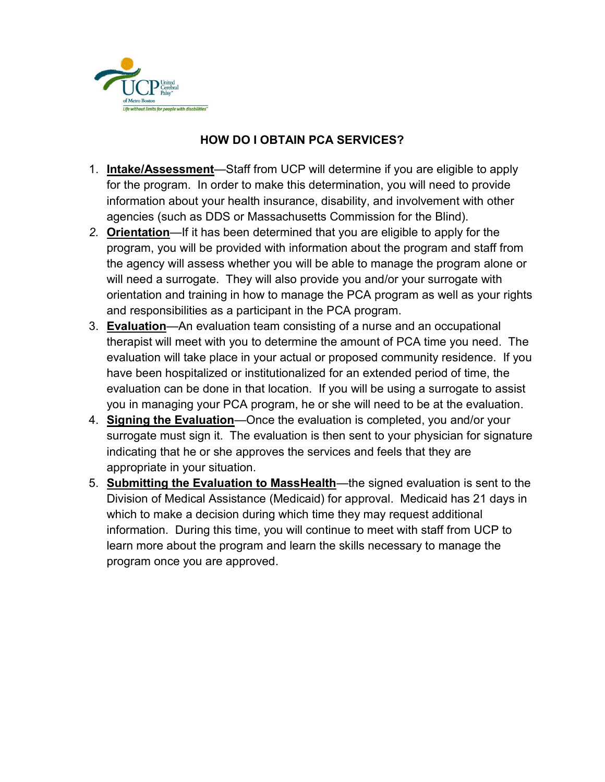

## HOW DO I OBTAIN PCA SERVICES?

- 1. Intake/Assessment—Staff from UCP will determine if you are eligible to apply for the program. In order to make this determination, you will need to provide information about your health insurance, disability, and involvement with other agencies (such as DDS or Massachusetts Commission for the Blind).
- 2. **Orientation**—If it has been determined that you are eligible to apply for the program, you will be provided with information about the program and staff from the agency will assess whether you will be able to manage the program alone or will need a surrogate. They will also provide you and/or your surrogate with orientation and training in how to manage the PCA program as well as your rights and responsibilities as a participant in the PCA program.
- 3. Evaluation—An evaluation team consisting of a nurse and an occupational therapist will meet with you to determine the amount of PCA time you need. The evaluation will take place in your actual or proposed community residence. If you have been hospitalized or institutionalized for an extended period of time, the evaluation can be done in that location. If you will be using a surrogate to assist you in managing your PCA program, he or she will need to be at the evaluation.
- 4. Signing the Evaluation—Once the evaluation is completed, you and/or your surrogate must sign it. The evaluation is then sent to your physician for signature indicating that he or she approves the services and feels that they are appropriate in your situation.
- 5. **Submitting the Evaluation to MassHealth**—the signed evaluation is sent to the Division of Medical Assistance (Medicaid) for approval. Medicaid has 21 days in which to make a decision during which time they may request additional information. During this time, you will continue to meet with staff from UCP to learn more about the program and learn the skills necessary to manage the program once you are approved.